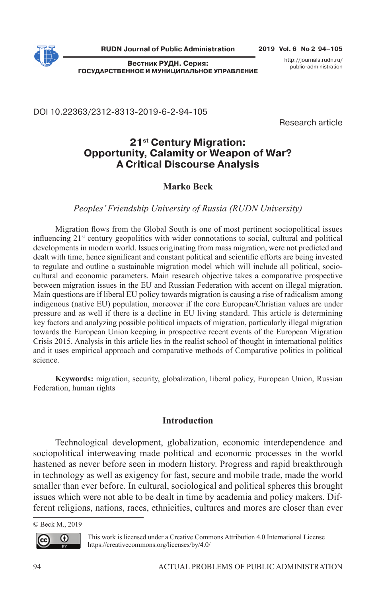

**Вестник РУДН. Серия: ГОСУДАРСТВЕННОЕ И МУНИЦИПАЛЬНОЕ УПРАВЛЕНИЕ** http://journals.rudn.ru/ public-administration

DOI 10.22363/2312-8313-2019-6-2-94-105

Research article

# **21st Century Migration: Opportunity, Calamity or Weapon of War? A Critical Discourse Analysis**

## **Marko Beck**

## *Peoples' Friendship University of Russia (RUDN University)*

Migration flows from the Global South is one of most pertinent sociopolitical issues influencing  $21<sup>st</sup>$  century geopolitics with wider connotations to social, cultural and political developments in modern world. Issues originating from mass migration, were not predicted and dealt with time, hence significant and constant political and scientific efforts are being invested to regulate and outline a sustainable migration model which will include all political, sociocultural and economic parameters. Main research objective takes a comparative prospective between migration issues in the EU and Russian Federation with accent on illegal migration. Main questions are if liberal EU policy towards migration is causing a rise of radicalism among indigenous (native EU) population, moreover if the core European/Christian values are under pressure and as well if there is a decline in EU living standard. This article is determining key factors and analyzing possible political impacts of migration, particularly illegal migration towards the European Union keeping in prospective recent events of the European Migration Crisis 2015. Analysis in this article lies in the realist school of thought in international politics and it uses empirical approach and comparative methods of Comparative politics in political science.

**Keywords:** migration, security, globalization, liberal policy, European Union, Russian Federation, human rights

## **Introduction**

Technological development, globalization, economic interdependence and sociopolitical interweaving made political and economic processes in the world hastened as never before seen in modern history. Progress and rapid breakthrough in technology as well as exigency for fast, secure and mobile trade, made the world smaller than ever before. In cultural, sociological and political spheres this brought issues which were not able to be dealt in time by academia and policy makers. Different religions, nations, races, ethnicities, cultures and mores are closer than ever

© Beck M., 2019



This work is licensed under a Creative Commons Attribution 4.0 International License https://creativecommons.org/licenses/by/4.0/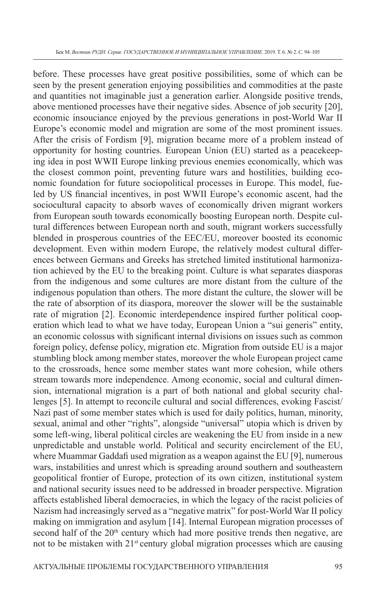before. These processes have great positive possibilities, some of which can be seen by the present generation enjoying possibilities and commodities at the paste and quantities not imaginable just a generation earlier. Alongside positive trends, above mentioned processes have their negative sides. Absence of job security [20], economic insouciance enjoyed by the previous generations in post-World War II Europe's economic model and migration are some of the most prominent issues. After the crisis of Fordism [9], migration became more of a problem instead of opportunity for hosting countries. European Union (EU) started as a peacekeeping idea in post WWII Europe linking previous enemies economically, which was the closest common point, preventing future wars and hostilities, building economic foundation for future sociopolitical processes in Europe. This model, fueled by US financial incentives, in post WWII Europe's economic ascent, had the sociocultural capacity to absorb waves of economically driven migrant workers from European south towards economically boosting European north. Despite cultural differences between European north and south, migrant workers successfully blended in prosperous countries of the EEC/EU, moreover boosted its economic development. Even within modern Europe, the relatively modest cultural differences between Germans and Greeks has stretched limited institutional harmonization achieved by the EU to the breaking point. Culture is what separates diasporas from the indigenous and some cultures are more distant from the culture of the indigenous population than others. The more distant the culture, the slower will be the rate of absorption of its diaspora, moreover the slower will be the sustainable rate of migration [2]. Economic interdependence inspired further political cooperation which lead to what we have today, European Union a "sui generis" entity, an economic colossus with significant internal divisions on issues such as common foreign policy, defense policy, migration etc. Migration from outside EU is a major stumbling block among member states, moreover the whole European project came to the crossroads, hence some member states want more cohesion, while others stream towards more independence. Among economic, social and cultural dimension, international migration is a part of both national and global security challenges [5]. In attempt to reconcile cultural and social differences, evoking Fascist/ Nazi past of some member states which is used for daily politics, human, minority, sexual, animal and other "rights", alongside "universal" utopia which is driven by some left-wing, liberal political circles are weakening the EU from inside in a new unpredictable and unstable world. Political and security encirclement of the EU, where Muammar Gaddafi used migration as a weapon against the EU [9], numerous wars, instabilities and unrest which is spreading around southern and southeastern geopolitical frontier of Europe, protection of its own citizen, institutional system and national security issues need to be addressed in broader perspective. Migration affects established liberal democracies, in which the legacy of the racist policies of Nazism had increasingly served as a "negative matrix" for post-World War II policy making on immigration and asylum [14]. Internal European migration processes of second half of the  $20<sup>th</sup>$  century which had more positive trends then negative, are not to be mistaken with 21<sup>st</sup> century global migration processes which are causing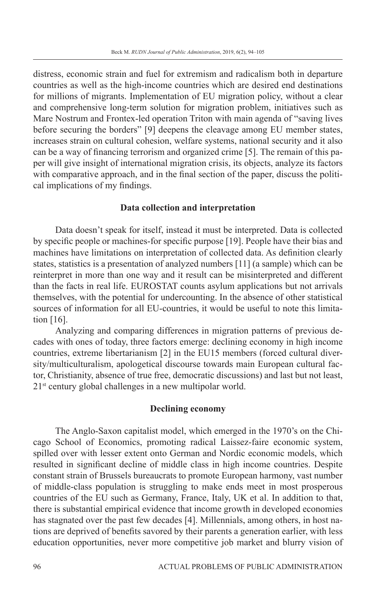distress, economic strain and fuel for extremism and radicalism both in departure countries as well as the high-income countries which are desired end destinations for millions of migrants. Implementation of EU migration policy, without a clear and comprehensive long-term solution for migration problem, initiatives such as Mare Nostrum and Frontex-led operation Triton with main agenda of "saving lives before securing the borders" [9] deepens the cleavage among EU member states, increases strain on cultural cohesion, welfare systems, national security and it also can be a way of financing terrorism and organized crime [5]. The remain of this paper will give insight of international migration crisis, its objects, analyze its factors with comparative approach, and in the final section of the paper, discuss the political implications of my findings.

## **Data collection and interpretation**

Data doesn't speak for itself, instead it must be interpreted. Data is collected by specific people or machines-for specific purpose [19]. People have their bias and machines have limitations on interpretation of collected data. As definition clearly states, statistics is a presentation of analyzed numbers [11] (a sample) which can be reinterpret in more than one way and it result can be misinterpreted and different than the facts in real life. EUROSTAT counts asylum applications but not arrivals themselves, with the potential for undercounting. In the absence of other statistical sources of information for all EU-countries, it would be useful to note this limitation [16].

Analyzing and comparing differences in migration patterns of previous decades with ones of today, three factors emerge: declining economy in high income countries, extreme libertarianism [2] in the EU15 members (forced cultural diversity/multiculturalism, apologetical discourse towards main European cultural factor, Christianity, absence of true free, democratic discussions) and last but not least, 21st century global challenges in a new multipolar world.

## **Declining economy**

The Anglo-Saxon capitalist model, which emerged in the 1970's on the Chicago School of Economics, promoting radical Laissez-faire economic system, spilled over with lesser extent onto German and Nordic economic models, which resulted in significant decline of middle class in high income countries. Despite constant strain of Brussels bureaucrats to promote European harmony, vast number of middle-class population is struggling to make ends meet in most prosperous countries of the EU such as Germany, France, Italy, UK et al. In addition to that, there is substantial empirical evidence that income growth in developed economies has stagnated over the past few decades [4]. Millennials, among others, in host nations are deprived of benefits savored by their parents a generation earlier, with less education opportunities, never more competitive job market and blurry vision of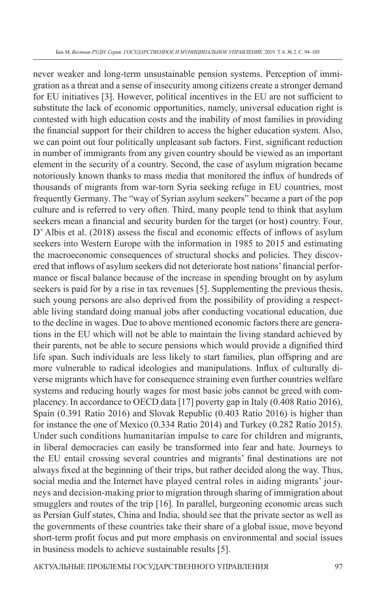never weaker and long-term unsustainable pension systems. Perception of immigration as a threat and a sense of insecurity among citizens create a stronger demand for EU initiatives [3]. However, political incentives in the EU are not sufficient to substitute the lack of economic opportunities, namely, universal education right is contested with high education costs and the inability of most families in providing the financial support for their children to access the higher education system. Also, we can point out four politically unpleasant sub factors. First, significant reduction in number of immigrants from any given country should be viewed as an important element in the security of a country. Second, the case of asylum migration became notoriously known thanks to mass media that monitored the influx of hundreds of thousands of migrants from war-torn Syria seeking refuge in EU countries, most frequently Germany. The "way of Syrian asylum seekers" became a part of the pop culture and is referred to very often. Third, many people tend to think that asylum seekers mean a financial and security burden for the target (or host) country. Four, D' Albis et al. (2018) assess the fiscal and economic effects of inflows of asylum seekers into Western Europe with the information in 1985 to 2015 and estimating the macroeconomic consequences of structural shocks and policies. They discovered that inflows of asylum seekers did not deteriorate host nations' financial performance or fiscal balance because of the increase in spending brought on by asylum seekers is paid for by a rise in tax revenues [5]. Supplementing the previous thesis, such young persons are also deprived from the possibility of providing a respectable living standard doing manual jobs after conducting vocational education, due to the decline in wages. Due to above mentioned economic factors there are generations in the EU which will not be able to maintain the living standard achieved by their parents, not be able to secure pensions which would provide a dignified third life span. Such individuals are less likely to start families, plan offspring and are more vulnerable to radical ideologies and manipulations. Influx of culturally diverse migrants which have for consequence straining even further countries welfare systems and reducing hourly wages for most basic jobs cannot be greed with complacency. In accordance to OECD data [17] poverty gap in Italy (0.408 Ratio 2016), Spain (0.391 Ratio 2016) and Slovak Republic (0.403 Ratio 2016) is higher than for instance the one of Mexico (0.334 Ratio 2014) and Turkey (0.282 Ratio 2015). Under such conditions humanitarian impulse to care for children and migrants, in liberal democracies can easily be transformed into fear and hate. Journeys to the EU entail crossing several countries and migrants' final destinations are not always fixed at the beginning of their trips, but rather decided along the way. Thus, social media and the Internet have played central roles in aiding migrants' journeys and decision-making prior to migration through sharing of immigration about smugglers and routes of the trip [16]. In parallel, burgeoning economic areas such as Persian Gulf states, China and India, should see that the private sector as well as the governments of these countries take their share of a global issue, move beyond short-term profit focus and put more emphasis on environmental and social issues in business models to achieve sustainable results [5].

АКТУАЛЬНЫЕ ПРОБЛЕМЫ ГОСУДАРСТВЕННОГО УПРАВЛЕНИЯ 97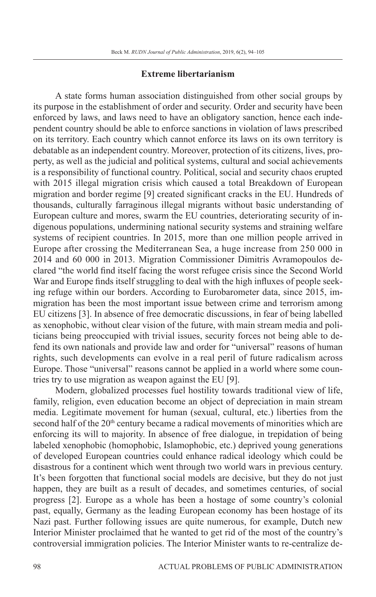## **Extreme libertarianism**

A state forms human association distinguished from other social groups by its purpose in the establishment of order and security. Order and security have been enforced by laws, and laws need to have an obligatory sanction, hence each independent country should be able to enforce sanctions in violation of laws prescribed on its territory. Each country which cannot enforce its laws on its own territory is debatable as an independent country. Moreover, protection of its citizens, lives, property, as well as the judicial and political systems, cultural and social achievements is a responsibility of functional country. Political, social and security chaos erupted with 2015 illegal migration crisis which caused a total Breakdown of European migration and border regime [9] created significant cracks in the EU. Hundreds of thousands, culturally farraginous illegal migrants without basic understanding of European culture and mores, swarm the EU countries, deteriorating security of indigenous populations, undermining national security systems and straining welfare systems of recipient countries. In 2015, more than one million people arrived in Europe after crossing the Mediterranean Sea, a huge increase from 250 000 in 2014 and 60 000 in 2013. Migration Commissioner Dimitris Avramopoulos declared "the world find itself facing the worst refugee crisis since the Second World War and Europe finds itself struggling to deal with the high influxes of people seeking refuge within our borders. According to Eurobarometer data, since 2015, immigration has been the most important issue between crime and terrorism among EU citizens [3]. In absence of free democratic discussions, in fear of being labelled as xenophobic, without clear vision of the future, with main stream media and politicians being preoccupied with trivial issues, security forces not being able to defend its own nationals and provide law and order for "universal" reasons of human rights, such developments can evolve in a real peril of future radicalism across Europe. Those "universal" reasons cannot be applied in a world where some countries try to use migration as weapon against the EU [9].

Modern, globalized processes fuel hostility towards traditional view of life, family, religion, even education become an object of depreciation in main stream media. Legitimate movement for human (sexual, cultural, etc.) liberties from the second half of the  $20<sup>th</sup>$  century became a radical movements of minorities which are enforcing its will to majority. In absence of free dialogue, in trepidation of being labeled xenophobic (homophobic, Islamophobic, etc.) deprived young generations of developed European countries could enhance radical ideology which could be disastrous for a continent which went through two world wars in previous century. It's been forgotten that functional social models are decisive, but they do not just happen, they are built as a result of decades, and sometimes centuries, of social progress [2]. Europe as a whole has been a hostage of some country's colonial past, equally, Germany as the leading European economy has been hostage of its Nazi past. Further following issues are quite numerous, for example, Dutch new Interior Minister proclaimed that he wanted to get rid of the most of the country's controversial immigration policies. The Interior Minister wants to re-centralize de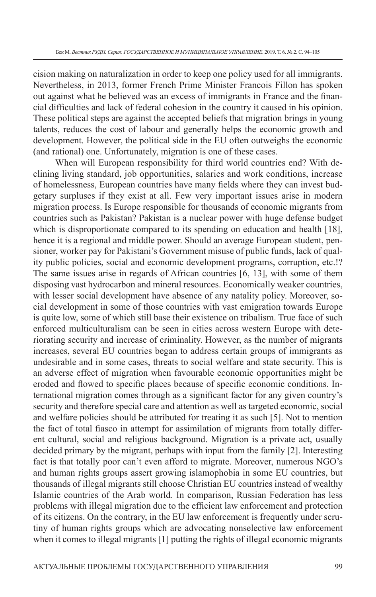cision making on naturalization in order to keep one policy used for all immigrants. Nevertheless, in 2013, former French Prime Minister Francois Fillon has spoken out against what he believed was an excess of immigrants in France and the financial difficulties and lack of federal cohesion in the country it caused in his opinion. These political steps are against the accepted beliefs that migration brings in young talents, reduces the cost of labour and generally helps the economic growth and development. However, the political side in the EU often outweighs the economic (and rational) one. Unfortunately, migration is one of these cases.

When will European responsibility for third world countries end? With declining living standard, job opportunities, salaries and work conditions, increase of homelessness, European countries have many fields where they can invest budgetary surpluses if they exist at all. Few very important issues arise in modern migration process. Is Europe responsible for thousands of economic migrants from countries such as Pakistan? Pakistan is a nuclear power with huge defense budget which is disproportionate compared to its spending on education and health [18], hence it is a regional and middle power. Should an average European student, pensioner, worker pay for Pakistani's Government misuse of public funds, lack of quality public policies, social and economic development programs, corruption, etc.!? The same issues arise in regards of African countries [6, 13], with some of them disposing vast hydrocarbon and mineral resources. Economically weaker countries, with lesser social development have absence of any natality policy. Moreover, social development in some of those countries with vast emigration towards Europe is quite low, some of which still base their existence on tribalism. True face of such enforced multiculturalism can be seen in cities across western Europe with deteriorating security and increase of criminality. However, as the number of migrants increases, several EU countries began to address certain groups of immigrants as undesirable and in some cases, threats to social welfare and state security. This is an adverse effect of migration when favourable economic opportunities might be eroded and flowed to specific places because of specific economic conditions. International migration comes through as a significant factor for any given country's security and therefore special care and attention as well as targeted economic, social and welfare policies should be attributed for treating it as such [5]. Not to mention the fact of total fiasco in attempt for assimilation of migrants from totally different cultural, social and religious background. Migration is a private act, usually decided primary by the migrant, perhaps with input from the family [2]. Interesting fact is that totally poor can't even afford to migrate. Moreover, numerous NGO's and human rights groups assert growing islamophobia in some EU countries, but thousands of illegal migrants still choose Christian EU countries instead of wealthy Islamic countries of the Arab world. In comparison, Russian Federation has less problems with illegal migration due to the efficient law enforcement and protection of its citizens. On the contrary, in the EU law enforcement is frequently under scrutiny of human rights groups which are advocating nonselective law enforcement when it comes to illegal migrants [1] putting the rights of illegal economic migrants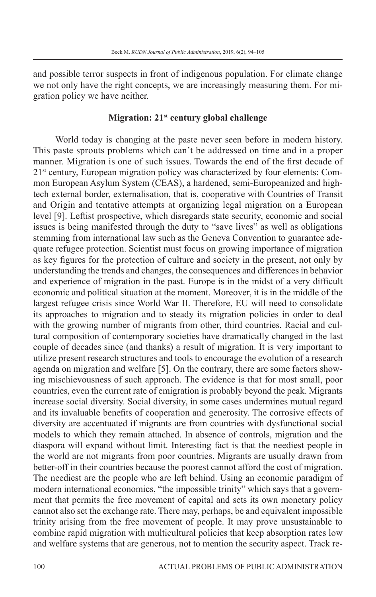and possible terror suspects in front of indigenous population. For climate change we not only have the right concepts, we are increasingly measuring them. For migration policy we have neither.

## **Migration: 21st century global challenge**

World today is changing at the paste never seen before in modern history. This paste sprouts problems which can't be addressed on time and in a proper manner. Migration is one of such issues. Towards the end of the first decade of 2<sup>1st</sup> century, European migration policy was characterized by four elements: Common European Asylum System (CEAS), a hardened, semi-Europeanized and hightech external border, externalisation, that is, cooperative with Countries of Transit and Origin and tentative attempts at organizing legal migration on a European level [9]. Leftist prospective, which disregards state security, economic and social issues is being manifested through the duty to "save lives" as well as obligations stemming from international law such as the Geneva Convention to guarantee adequate refugee protection. Scientist must focus on growing importance of migration as key figures for the protection of culture and society in the present, not only by understanding the trends and changes, the consequences and differences in behavior and experience of migration in the past. Europe is in the midst of a very difficult economic and political situation at the moment. Moreover, it is in the middle of the largest refugee crisis since World War II. Therefore, EU will need to consolidate its approaches to migration and to steady its migration policies in order to deal with the growing number of migrants from other, third countries. Racial and cultural composition of contemporary societies have dramatically changed in the last couple of decades since (and thanks) a result of migration. It is very important to utilize present research structures and tools to encourage the evolution of a research agenda on migration and welfare [5]. On the contrary, there are some factors showing mischievousness of such approach. The evidence is that for most small, poor countries, even the current rate of emigration is probably beyond the peak. Migrants increase social diversity. Social diversity, in some cases undermines mutual regard and its invaluable benefits of cooperation and generosity. The corrosive effects of diversity are accentuated if migrants are from countries with dysfunctional social models to which they remain attached. In absence of controls, migration and the diaspora will expand without limit. Interesting fact is that the neediest people in the world are not migrants from poor countries. Migrants are usually drawn from better-off in their countries because the poorest cannot afford the cost of migration. The neediest are the people who are left behind. Using an economic paradigm of modern international economics, "the impossible trinity" which says that a government that permits the free movement of capital and sets its own monetary policy cannot also set the exchange rate. There may, perhaps, be and equivalent impossible trinity arising from the free movement of people. It may prove unsustainable to combine rapid migration with multicultural policies that keep absorption rates low and welfare systems that are generous, not to mention the security aspect. Track re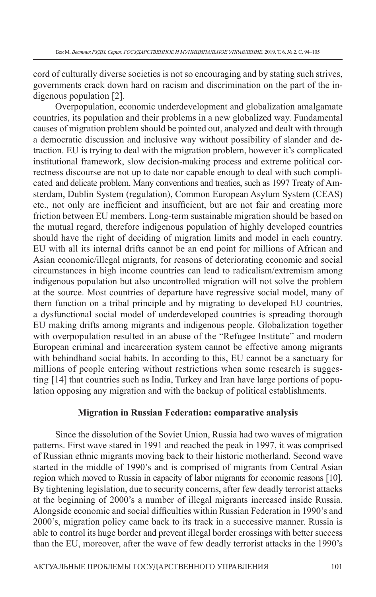cord of culturally diverse societies is not so encouraging and by stating such strives, governments crack down hard on racism and discrimination on the part of the indigenous population [2].

Overpopulation, economic underdevelopment and globalization amalgamate countries, its population and their problems in a new globalized way. Fundamental causes of migration problem should be pointed out, analyzed and dealt with through a democratic discussion and inclusive way without possibility of slander and detraction. EU is trying to deal with the migration problem, however it's complicated institutional framework, slow decision-making process and extreme political correctness discourse are not up to date nor capable enough to deal with such complicated and delicate problem. Many conventions and treaties, such as 1997 Treaty of Amsterdam, Dublin System (regulation), Common European Asylum System (CEAS) etc., not only are inefficient and insufficient, but are not fair and creating more friction between EU members. Long-term sustainable migration should be based on the mutual regard, therefore indigenous population of highly developed countries should have the right of deciding of migration limits and model in each country. EU with all its internal drifts cannot be an end point for millions of African and Asian economic/illegal migrants, for reasons of deteriorating economic and social circumstances in high income countries can lead to radicalism/extremism among indigenous population but also uncontrolled migration will not solve the problem at the source. Most countries of departure have regressive social model, many of them function on a tribal principle and by migrating to developed EU countries, a dysfunctional social model of underdeveloped countries is spreading thorough EU making drifts among migrants and indigenous people. Globalization together with overpopulation resulted in an abuse of the "Refugee Institute" and modern European criminal and incarceration system cannot be effective among migrants with behindhand social habits. In according to this, EU cannot be a sanctuary for millions of people entering without restrictions when some research is suggesting [14] that countries such as India, Turkey and Iran have large portions of population opposing any migration and with the backup of political establishments.

### **Migration in Russian Federation: comparative analysis**

Since the dissolution of the Soviet Union, Russia had two waves of migration patterns. First wave stared in 1991 and reached the peak in 1997, it was comprised of Russian ethnic migrants moving back to their historic motherland. Second wave started in the middle of 1990's and is comprised of migrants from Central Asian region which moved to Russia in capacity of labor migrants for economic reasons [10]. By tightening legislation, due to security concerns, after few deadly terrorist attacks at the beginning of 2000's a number of illegal migrants increased inside Russia. Alongside economic and social difficulties within Russian Federation in 1990's and 2000's, migration policy came back to its track in a successive manner. Russia is able to control its huge border and prevent illegal border crossings with better success than the EU, moreover, after the wave of few deadly terrorist attacks in the 1990's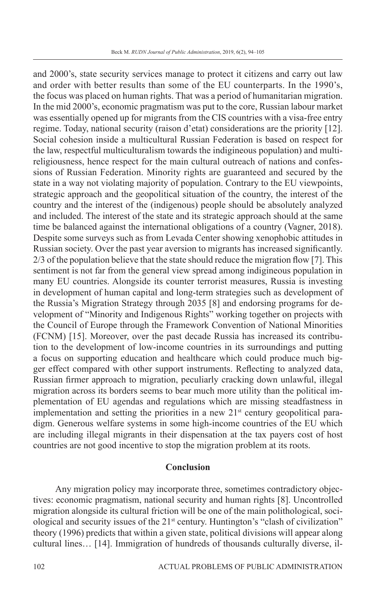and 2000's, state security services manage to protect it citizens and carry out law and order with better results than some of the EU counterparts. In the 1990's, the focus was placed on human rights. That was a period of humanitarian migration. In the mid 2000's, economic pragmatism was put to the core, Russian labour market was essentially opened up for migrants from the CIS countries with a visa-free entry regime. Today, national security (raison d'etat) considerations are the priority [12]. Social cohesion inside a multicultural Russian Federation is based on respect for the law, respectful multiculturalism towards the indigineous population) and multireligiousness, hence respect for the main cultural outreach of nations and confessions of Russian Federation. Minority rights are guaranteed and secured by the state in a way not violating majority of population. Contrary to the EU viewpoints, strategic approach and the geopolitical situation of the country, the interest of the country and the interest of the (indigenous) people should be absolutely analyzed and included. The interest of the state and its strategic approach should at the same time be balanced against the international obligations of a country (Vagner, 2018). Despite some surveys such as from Levada Center showing xenophobic attitudes in Russian society. Over the past year aversion to migrants has increased significantly.  $2/3$  of the population believe that the state should reduce the migration flow [7]. This sentiment is not far from the general view spread among indigineous population in many EU countries. Alongside its counter terrorist measures, Russia is investing in development of human capital and long-term strategies such as development of the Russia's Migration Strategy through 2035 [8] and endorsing programs for development of "Minority and Indigenous Rights" working together on projects with the Council of Europe through the Framework Convention of National Minorities (FCNM) [15]. Moreover, over the past decade Russia has increased its contribution to the development of low-income countries in its surroundings and putting a focus on supporting education and healthcare which could produce much bigger effect compared with other support instruments. Reflecting to analyzed data, Russian firmer approach to migration, peculiarly cracking down unlawful, illegal migration across its borders seems to bear much more utility than the political implementation of EU agendas and regulations which are missing steadfastness in implementation and setting the priorities in a new  $21<sup>st</sup>$  century geopolitical paradigm. Generous welfare systems in some high-income countries of the EU which are including illegal migrants in their dispensation at the tax payers cost of host countries are not good incentive to stop the migration problem at its roots.

## **Conclusion**

Any migration policy may incorporate three, sometimes contradictory objectives: economic pragmatism, national security and human rights [8]. Uncontrolled migration alongside its cultural friction will be one of the main polithological, sociological and security issues of the 21<sup>st</sup> century. Huntington's "clash of civilization" theory (1996) predicts that within a given state, political divisions will appear along cultural lines… [14]. Immigration of hundreds of thousands culturally diverse, il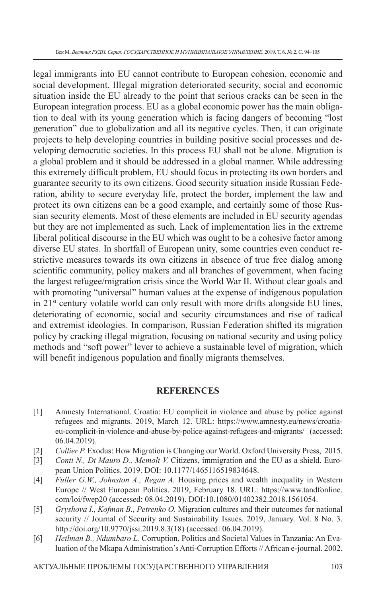legal immigrants into EU cannot contribute to European cohesion, economic and social development. Illegal migration deteriorated security, social and economic situation inside the EU already to the point that serious cracks can be seen in the European integration process. EU as a global economic power has the main obligation to deal with its young generation which is facing dangers of becoming "lost generation" due to globalization and all its negative cycles. Then, it can originate projects to help developing countries in building positive social processes and developing democratic societies. In this process EU shall not be alone. Migration is a global problem and it should be addressed in a global manner. While addressing this extremely difficult problem, EU should focus in protecting its own borders and guarantee security to its own citizens. Good security situation inside Russian Federation, ability to secure everyday life, protect the border, implement the law and protect its own citizens can be a good example, and certainly some of those Russian security elements. Most of these elements are included in EU security agendas but they are not implemented as such. Lack of implementation lies in the extreme liberal political discourse in the EU which was ought to be a cohesive factor among diverse EU states. In shortfall of European unity, some countries even conduct restrictive measures towards its own citizens in absence of true free dialog among scientific community, policy makers and all branches of government, when facing the largest refugee/migration crisis since the World War II. Without clear goals and with promoting "universal" human values at the expense of indigenous population in  $21<sup>st</sup>$  century volatile world can only result with more drifts alongside EU lines, deteriorating of economic, social and security circumstances and rise of radical and extremist ideologies. In comparison, Russian Federation shifted its migration policy by cracking illegal migration, focusing on national security and using policy methods and "soft power" lever to achieve a sustainable level of migration, which will benefit indigenous population and finally migrants themselves.

## **REFERENCES**

- [1] Amnesty International. Croatia: EU complicit in violence and abuse by police against refugees and migrants. 2019, March 12. URL: https://www.amnesty.eu/news/croatiaeu-complicit-in-violence-and-abuse-by-police-against-refugees-and-migrants/ (accessed: 06.04.2019).
- [2] *Collier P. Exodus: How Migration is Changing our World. Oxford University Press, 2015.*
- [3] *Conti N., Di Mauro D., Memoli V.* Citizens, immigration and the EU as a shield. European Union Politics. 2019. DOI: 10.1177/1465116519834648.
- [4] *Fuller G.W., Johnston A., Regan A.* Housing prices and wealth inequality in Western Europe // West European Politics. 2019, February 18. URL: https://www.tandfonline. com/loi/fwep20 (accessed: 08.04.2019). DOI:10.1080/01402382.2018.1561054.
- [5] *Gryshova I., Kofman B., Petrenko O.* Migration cultures and their outcomes for national security // Journal of Security and Sustainability Issues. 2019, January. Vol. 8 No. 3. http://doi.org/10.9770/jssi.2019.8.3(18) (accessed: 06.04.2019).
- [6] *Heilman B., Ndumbaro L.* Corruption, Politics and Societal Values in Tanzania: An Evaluation of the Mkapa Administration's Anti-Corruption Efforts // African e-journal. 2002.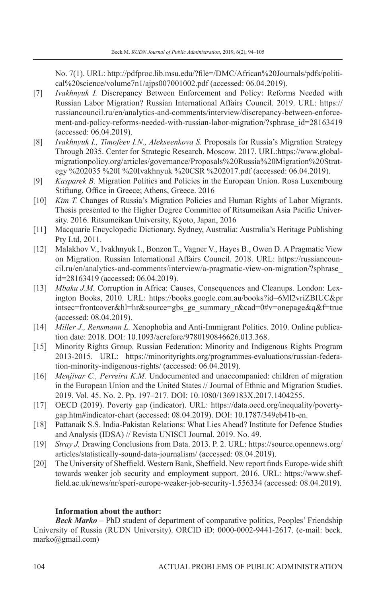No. 7(1). URL: http://pdfproc.lib.msu.edu/?fi le=/DMC/African%20Journals/pdfs/political%20science/volume7n1/ajps007001002.pdf (accessed: 06.04.2019).

- [7] *Ivakhnyuk I.* Discrepancy Between Enforcement and Policy: Reforms Needed with Russian Labor Migration? Russian International Affairs Council. 2019. URL: https:// russiancouncil.ru/en/analytics-and-comments/interview/discrepancy-between-enforcement-and-policy-reforms-needed-with-russian-labor-migration/?sphrase\_id=28163419 (accessed: 06.04.2019).
- [8] *Ivakhnyuk I., Timofeev I.N., Alekseenkova S.* Proposals for Russia's Migration Strategy Through 2035. Center for Strategic Research. Moscow. 2017. URL:https://www.globalmigrationpolicy.org/articles/governance/Proposals%20Russia%20Migration%20Strategy %202035 %20I %20Ivakhnyuk %20CSR %202017.pdf (accessed: 06.04.2019).
- [9] *Kasparek B.* Migration Politics and Policies in the European Union. Rosa Luxembourg Stiftung, Office in Greece: Athens, Greece. 2016
- [10] *Kim T.* Changes of Russia's Migration Policies and Human Rights of Labor Migrants. Thesis presented to the Higher Degree Committee of Ritsumeikan Asia Pacific University. 2016. Ritsumeikan University, Kyoto, Japan, 2016
- [11] Macquarie Encyclopedic Dictionary. Sydney, Australia: Australia's Heritage Publishing Pty Ltd, 2011.
- [12] Malakhov V., Ivakhnyuk I., Bonzon T., Vagner V., Hayes B., Owen D. A Pragmatic View on Migration. Russian International Affairs Council. 2018. URL: https://russiancouncil.ru/en/analytics-and-comments/interview/a-pragmatic-view-on-migration/?sphrase\_ id=28163419 (accessed: 06.04.2019).
- [13] *Mbaku J.M.* Corruption in Africa: Causes, Consequences and Cleanups. London: Lexington Books, 2010. URL: https://books.google.com.au/books?id=6Ml2vriZBIUC&pr intsec=frontcover&hl=hr&source=gbs\_ge\_summary\_r&cad=0#v=onepage&q&f=true (accessed: 08.04.2019).
- [14] *Miller J., Rensmann L.* Xenophobia and Anti-Immigrant Politics. 2010. Online publication date: 2018. DOI: 10.1093/acrefore/9780190846626.013.368.
- [15] Minority Rights Group. Russian Federation: Minority and Indigenous Rights Program 2013-2015. URL: https://minorityrights.org/programmes-evaluations/russian-federation-minority-indigenous-rights/ (accessed: 06.04.2019).
- [16] *Menjívar C., Perreira K.M.* Undocumented and unaccompanied: children of migration in the European Union and the United States // Journal of Ethnic and Migration Studies. 2019. Vol. 45. No. 2. Pp. 197–217. DOI: 10.1080/1369183X.2017.1404255.
- [17] OECD (2019). Poverty gap (indicator). URL: https://data.oecd.org/inequality/povertygap.htm#indicator-chart (accessed: 08.04.2019). DOI: 10.1787/349eb41b-en.
- [18] Pattanaik S.S. India-Pakistan Relations: What Lies Ahead? Institute for Defence Studies and Analysis (IDSA) // Revista UNISCI Journal. 2019. No. 49.
- [19] *Stray J.* Drawing Conclusions from Data. 2013. P. 2. URL: https://source.opennews.org/ articles/statistically-sound-data-journalism/ (accessed: 08.04.2019).
- [20] The University of Sheffield. Western Bank, Sheffield. New report finds Europe-wide shift towards weaker job security and employment support. 2016. URL: https://www.sheffield.ac.uk/news/nr/speri-europe-weaker-job-security-1.556334 (accessed: 08.04.2019).

#### **Information about the author:**

*Beck Marko –* PhD student of department of comparative politics, Peoples' Friendship University of Russia (RUDN University). ORCID iD: 0000-0002-9441-2617. (e-mail: beck. marko@gmail.com)